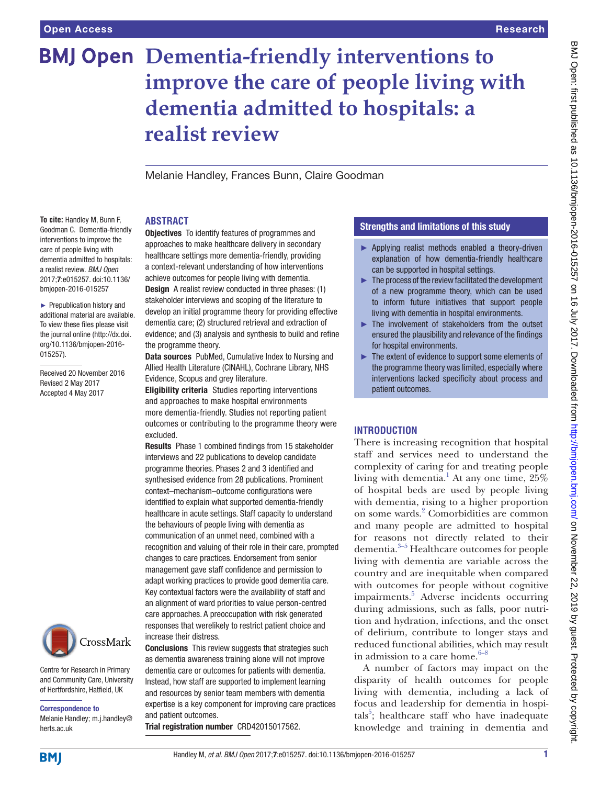# **BMJ Open Dementia-friendly interventions to improve the care of people living with dementia admitted to hospitals: a realist review**

Melanie Handley, Frances Bunn, Claire Goodman

#### **Abstract**

**To cite:** Handley M, Bunn F, Goodman C. Dementia-friendly interventions to improve the care of people living with dementia admitted to hospitals: a realist review. *BMJ Open* 2017;7:e015257. doi:10.1136/ bmjopen-2016-015257

► Prepublication history and additional material are available. To view these files please visit the journal online [\(http://dx.doi.](http://dx.doi.org/10.1136/bmjopen-2016-015257) [org/10.1136/bmjopen-2016-](http://dx.doi.org/10.1136/bmjopen-2016-015257) [015257\)](http://dx.doi.org/10.1136/bmjopen-2016-015257).

Received 20 November 2016 Revised 2 May 2017 Accepted 4 May 2017



Centre for Research in Primary and Community Care, University of Hertfordshire, Hatfield, UK

Correspondence to Melanie Handley; m.j.handley@ herts.ac.uk

Objectives To identify features of programmes and approaches to make healthcare delivery in secondary healthcare settings more dementia-friendly, providing a context-relevant understanding of how interventions achieve outcomes for people living with dementia. Design A realist review conducted in three phases: (1) stakeholder interviews and scoping of the literature to develop an initial programme theory for providing effective dementia care; (2) structured retrieval and extraction of evidence; and (3) analysis and synthesis to build and refine the programme theory.

Data sources PubMed, Cumulative Index to Nursing and Allied Health Literature (CINAHL), Cochrane Library, NHS Evidence, Scopus and grey literature.

Eligibility criteria Studies reporting interventions and approaches to make hospital environments more dementia-friendly. Studies not reporting patient outcomes or contributing to the programme theory were excluded.

Results Phase 1 combined findings from 15 stakeholder interviews and 22 publications to develop candidate programme theories. Phases 2 and 3 identified and synthesised evidence from 28 publications. Prominent context–mechanism–outcome configurations were identified to explain what supported dementia-friendly healthcare in acute settings. Staff capacity to understand the behaviours of people living with dementia as communication of an unmet need, combined with a recognition and valuing of their role in their care, prompted changes to care practices. Endorsement from senior management gave staff confidence and permission to adapt working practices to provide good dementia care. Key contextual factors were the availability of staff and an alignment of ward priorities to value person-centred care approaches. A preoccupation with risk generated responses that werelikely to restrict patient choice and increase their distress.

**Conclusions** This review suggests that strategies such as dementia awareness training alone will not improve dementia care or outcomes for patients with dementia. Instead, how staff are supported to implement learning and resources by senior team members with dementia expertise is a key component for improving care practices and patient outcomes.

Trial registration number CRD42015017562.

#### Strengths and limitations of this study

- ► Applying realist methods enabled a theory-driven explanation of how dementia-friendly healthcare can be supported in hospital settings.
- $\blacktriangleright$  The process of the review facilitated the development of a new programme theory, which can be used to inform future initiatives that support people living with dementia in hospital environments.
- ► The involvement of stakeholders from the outset ensured the plausibility and relevance of the findings for hospital environments.
- ► The extent of evidence to support some elements of the programme theory was limited, especially where interventions lacked specificity about process and patient outcomes.

#### **Introduction**

There is increasing recognition that hospital staff and services need to understand the complexity of caring for and treating people living with dementia.<sup>1</sup> At any one time,  $25\%$ of hospital beds are used by people living with dementia, rising to a higher proportion on some wards[.2](#page-11-1) Comorbidities are common and many people are admitted to hospital for reasons not directly related to their dementia.[3–5](#page-11-2) Healthcare outcomes for people living with dementia are variable across the country and are inequitable when compared with outcomes for people without cognitive impairments.<sup>5</sup> Adverse incidents occurring during admissions, such as falls, poor nutrition and hydration, infections, and the onset of delirium, contribute to longer stays and reduced functional abilities, which may result in admission to a care home. $6-8$ 

A number of factors may impact on the disparity of health outcomes for people living with dementia, including a lack of focus and leadership for dementia in hospi-tals<sup>[5](#page-11-3)</sup>; healthcare staff who have inadequate knowledge and training in dementia and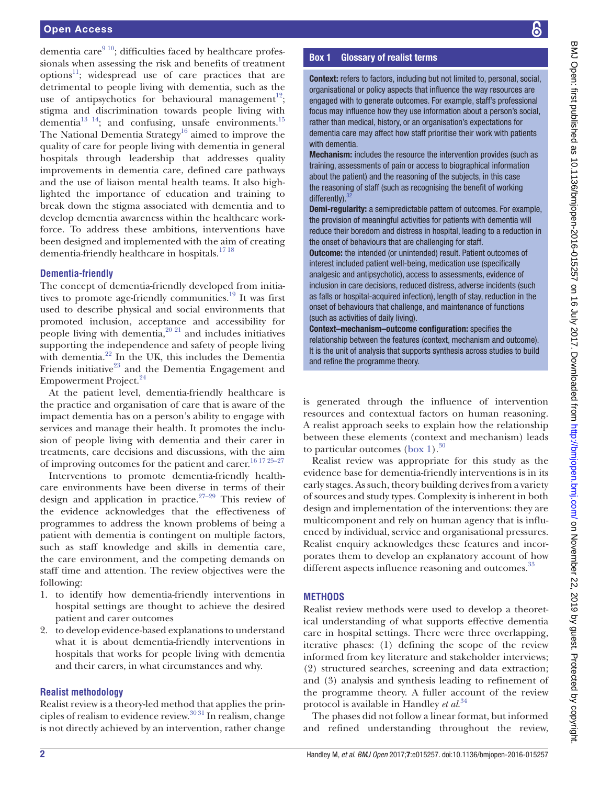dementia care $9^{10}$ ; difficulties faced by healthcare professionals when assessing the risk and benefits of treatment options $11$ ; widespread use of care practices that are detrimental to people living with dementia, such as the use of antipsychotics for behavioural management<sup>12</sup>; stigma and discrimination towards people living with dementia $^{13}$  <sup>14</sup>; and confusing, unsafe environments.<sup>15</sup> The National Dementia Strategy<sup>16</sup> aimed to improve the quality of care for people living with dementia in general hospitals through leadership that addresses quality improvements in dementia care, defined care pathways and the use of liaison mental health teams. It also highlighted the importance of education and training to break down the stigma associated with dementia and to develop dementia awareness within the healthcare workforce. To address these ambitions, interventions have been designed and implemented with the aim of creating dementia-friendly healthcare in hospitals.<sup>1718</sup>

#### **Dementia-friendly**

The concept of dementia-friendly developed from initiatives to promote age-friendly communities.<sup>19</sup> It was first used to describe physical and social environments that promoted inclusion, acceptance and accessibility for people living with dementia,  $20\frac{21}{21}$  and includes initiatives supporting the independence and safety of people living with dementia.<sup>[22](#page-11-15)</sup> In the UK, this includes the Dementia Friends initiative $23$  and the Dementia Engagement and Empowerment Project.<sup>[24](#page-11-17)</sup>

At the patient level, dementia-friendly healthcare is the practice and organisation of care that is aware of the impact dementia has on a person's ability to engage with services and manage their health. It promotes the inclusion of people living with dementia and their carer in treatments, care decisions and discussions, with the aim of improving outcomes for the patient and carer.  $^{16\ 17\ 25-27}$ 

Interventions to promote dementia-friendly healthcare environments have been diverse in terms of their design and application in practice.<sup>27-29</sup> This review of the evidence acknowledges that the effectiveness of programmes to address the known problems of being a patient with dementia is contingent on multiple factors, such as staff knowledge and skills in dementia care, the care environment, and the competing demands on staff time and attention. The review objectives were the following:

- 1. to identify how dementia-friendly interventions in hospital settings are thought to achieve the desired patient and carer outcomes
- 2. to develop evidence-based explanations to understand what it is about dementia-friendly interventions in hospitals that works for people living with dementia and their carers, in what circumstances and why.

#### **Realist methodology**

Realist review is a theory-led method that applies the principles of realism to evidence review.[30 31](#page-11-19) In realism, change is not directly achieved by an intervention, rather change

#### Box 1 Glossary of realist terms

<span id="page-1-0"></span>Context: refers to factors, including but not limited to, personal, social, organisational or policy aspects that influence the way resources are engaged with to generate outcomes. For example, staff's professional focus may influence how they use information about a person's social, rather than medical, history, or an organisation's expectations for dementia care may affect how staff prioritise their work with patients with dementia.

Mechanism: includes the resource the intervention provides (such as training, assessments of pain or access to biographical information about the patient) and the reasoning of the subjects, in this case the reasoning of staff (such as recognising the benefit of working differently).

Demi-regularity: a semipredictable pattern of outcomes. For example, the provision of meaningful activities for patients with dementia will reduce their boredom and distress in hospital, leading to a reduction in the onset of behaviours that are challenging for staff.

**Outcome:** the intended (or unintended) result. Patient outcomes of interest included patient well-being, medication use (specifically analgesic and antipsychotic), access to assessments, evidence of inclusion in care decisions, reduced distress, adverse incidents (such as falls or hospital-acquired infection), length of stay, reduction in the onset of behaviours that challenge, and maintenance of functions (such as activities of daily living).

Context–mechanism–outcome configuration: specifies the relationship between the features (context, mechanism and outcome). It is the unit of analysis that supports synthesis across studies to build and refine the programme theory.

is generated through the influence of intervention resources and contextual factors on human reasoning. A realist approach seeks to explain how the relationship between these elements (context and mechanism) leads to particular outcomes [\(box](#page-1-0) 1).<sup>[30](#page-11-19)</sup>

Realist review was appropriate for this study as the evidence base for dementia-friendly interventions is in its early stages. As such, theory building derives from a variety of sources and study types. Complexity is inherent in both design and implementation of the interventions: they are multicomponent and rely on human agency that is influenced by individual, service and organisational pressures. Realist enquiry acknowledges these features and incorporates them to develop an explanatory account of how different aspects influence reasoning and outcomes.<sup>33</sup>

#### **Methods**

Realist review methods were used to develop a theoretical understanding of what supports effective dementia care in hospital settings. There were three overlapping, iterative phases: (1) defining the scope of the review informed from key literature and stakeholder interviews; (2) structured searches, screening and data extraction; and (3) analysis and synthesis leading to refinement of the programme theory. A fuller account of the review protocol is available in Handley *et al*. [34](#page-11-21)

The phases did not follow a linear format, but informed and refined understanding throughout the review,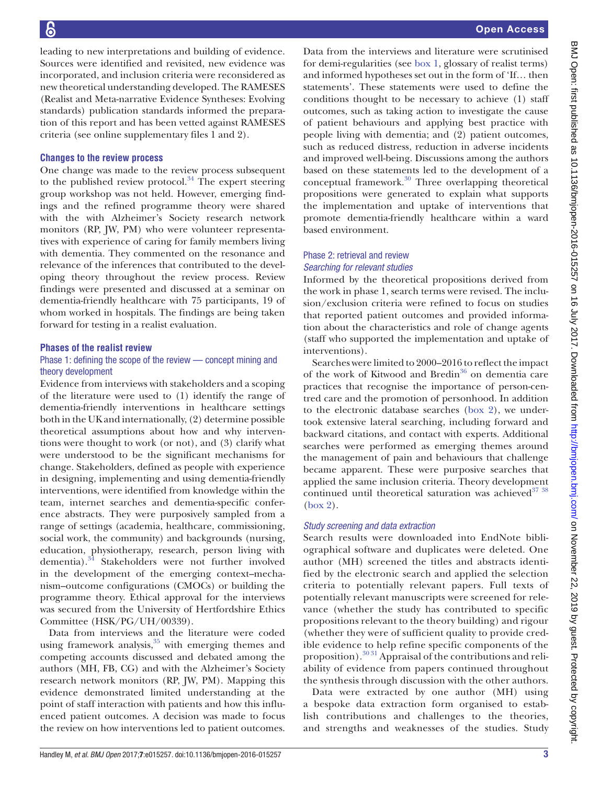leading to new interpretations and building of evidence. Sources were identified and revisited, new evidence was incorporated, and inclusion criteria were reconsidered as new theoretical understanding developed. The RAMESES (Realist and Meta-narrative Evidence Syntheses: Evolving standards) publication standards informed the preparation of this report and has been vetted against RAMESES criteria (see online [supplementary files 1 and 2](https://dx.doi.org/10.1136/bmjopen-2016-015257)).

#### **Changes to the review process**

One change was made to the review process subsequent to the published review protocol. $34$  The expert steering group workshop was not held. However, emerging findings and the refined programme theory were shared with the with Alzheimer's Society research network monitors (RP, JW, PM) who were volunteer representatives with experience of caring for family members living with dementia. They commented on the resonance and relevance of the inferences that contributed to the developing theory throughout the review process. Review findings were presented and discussed at a seminar on dementia-friendly healthcare with 75 participants, 19 of whom worked in hospitals. The findings are being taken forward for testing in a realist evaluation.

#### **Phases of the realist review**

#### Phase 1: defining the scope of the review — concept mining and theory development

Evidence from interviews with stakeholders and a scoping of the literature were used to (1) identify the range of dementia-friendly interventions in healthcare settings both in the UK and internationally, (2) determine possible theoretical assumptions about how and why interventions were thought to work (or not), and (3) clarify what were understood to be the significant mechanisms for change. Stakeholders, defined as people with experience in designing, implementing and using dementia-friendly interventions, were identified from knowledge within the team, internet searches and dementia-specific conference abstracts. They were purposively sampled from a range of settings (academia, healthcare, commissioning, social work, the community) and backgrounds (nursing, education, physiotherapy, research, person living with dementia).<sup>34</sup> Stakeholders were not further involved in the development of the emerging context–mechanism–outcome configurations (CMOCs) or building the programme theory. Ethical approval for the interviews was secured from the University of Hertfordshire Ethics Committee (HSK/PG/UH/00339).

Data from interviews and the literature were coded using framework analysis, $35$  with emerging themes and competing accounts discussed and debated among the authors (MH, FB, CG) and with the Alzheimer's Society research network monitors (RP, JW, PM). Mapping this evidence demonstrated limited understanding at the point of staff interaction with patients and how this influenced patient outcomes. A decision was made to focus the review on how interventions led to patient outcomes.

Data from the interviews and literature were scrutinised for demi-regularities (see [box](#page-1-0) 1, glossary of realist terms) and informed hypotheses set out in the form of 'If… then statements'. These statements were used to define the conditions thought to be necessary to achieve (1) staff outcomes, such as taking action to investigate the cause of patient behaviours and applying best practice with people living with dementia; and (2) patient outcomes, such as reduced distress, reduction in adverse incidents and improved well-being. Discussions among the authors based on these statements led to the development of a conceptual framework. $30$  Three overlapping theoretical propositions were generated to explain what supports the implementation and uptake of interventions that promote dementia-friendly healthcare within a ward based environment.

#### Phase 2: retrieval and review *Searching for relevant studies*

Informed by the theoretical propositions derived from the work in phase 1, search terms were revised. The inclusion/exclusion criteria were refined to focus on studies that reported patient outcomes and provided information about the characteristics and role of change agents (staff who supported the implementation and uptake of interventions).

Searches were limited to 2000–2016 to reflect the impact of the work of Kitwood and Bredin $36$  on dementia care practices that recognise the importance of person-centred care and the promotion of personhood. In addition to the electronic database searches [\(box](#page-3-0) 2), we undertook extensive lateral searching, including forward and backward citations, and contact with experts. Additional searches were performed as emerging themes around the management of pain and behaviours that challenge became apparent. These were purposive searches that applied the same inclusion criteria. Theory development continued until theoretical saturation was achieved $3738$ [\(box](#page-3-0) 2).

#### *Study screening and data extraction*

Search results were downloaded into EndNote bibliographical software and duplicates were deleted. One author (MH) screened the titles and abstracts identified by the electronic search and applied the selection criteria to potentially relevant papers. Full texts of potentially relevant manuscripts were screened for relevance (whether the study has contributed to specific propositions relevant to the theory building) and rigour (whether they were of sufficient quality to provide credible evidence to help refine specific components of the proposition).[30 31](#page-11-19) Appraisal of the contributions and reliability of evidence from papers continued throughout the synthesis through discussion with the other authors.

Data were extracted by one author (MH) using a bespoke data extraction form organised to establish contributions and challenges to the theories, and strengths and weaknesses of the studies. Study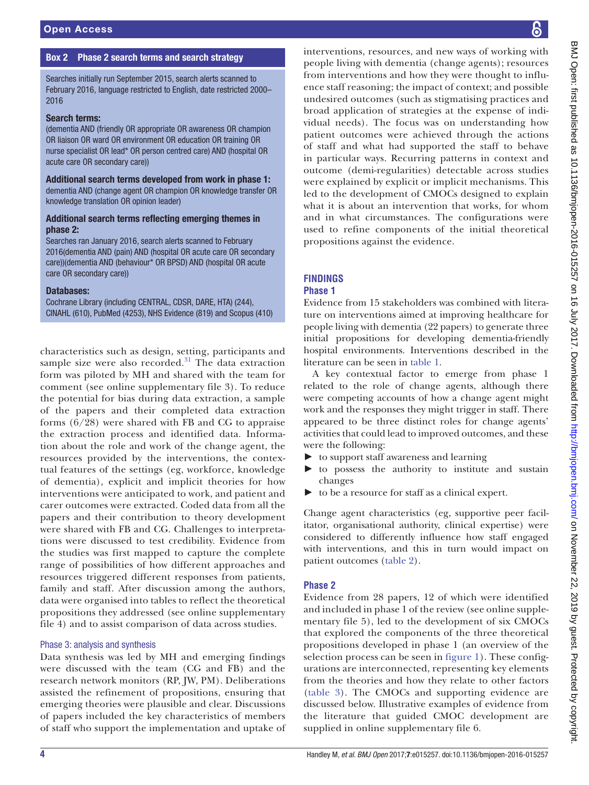#### Box 2 Phase 2 search terms and search strategy

<span id="page-3-0"></span>Searches initially run September 2015, search alerts scanned to February 2016, language restricted to English, date restricted 2000– 2016

#### Search terms:

(dementia AND (friendly OR appropriate OR awareness OR champion OR liaison OR ward OR environment OR education OR training OR nurse specialist OR lead\* OR person centred care) AND (hospital OR acute care OR secondary care))

Additional search terms developed from work in phase 1: dementia AND (change agent OR champion OR knowledge transfer OR knowledge translation OR opinion leader)

#### Additional search terms reflecting emerging themes in phase 2:

Searches ran January 2016, search alerts scanned to February 2016(dementia AND (pain) AND (hospital OR acute care OR secondary care))(dementia AND (behaviour\* OR BPSD) AND (hospital OR acute care OR secondary care))

#### Databases:

Cochrane Library (including CENTRAL, CDSR, DARE, HTA) (244), CINAHL (610), PubMed (4253), NHS Evidence (819) and Scopus (410)

characteristics such as design, setting, participants and sample size were also recorded. $31$  The data extraction form was piloted by MH and shared with the team for comment (see online [supplementary file 3\)](https://dx.doi.org/10.1136/bmjopen-2016-015257). To reduce the potential for bias during data extraction, a sample of the papers and their completed data extraction forms (6/28) were shared with FB and CG to appraise the extraction process and identified data. Information about the role and work of the change agent, the resources provided by the interventions, the contextual features of the settings (eg, workforce, knowledge of dementia), explicit and implicit theories for how interventions were anticipated to work, and patient and carer outcomes were extracted. Coded data from all the papers and their contribution to theory development were shared with FB and CG. Challenges to interpretations were discussed to test credibility. Evidence from the studies was first mapped to capture the complete range of possibilities of how different approaches and resources triggered different responses from patients, family and staff. After discussion among the authors, data were organised into tables to reflect the theoretical propositions they addressed (see online [supplementary](https://dx.doi.org/10.1136/bmjopen-2016-015257)  [file 4](https://dx.doi.org/10.1136/bmjopen-2016-015257)) and to assist comparison of data across studies.

#### Phase 3: analysis and synthesis

Data synthesis was led by MH and emerging findings were discussed with the team (CG and FB) and the research network monitors (RP, JW, PM). Deliberations assisted the refinement of propositions, ensuring that emerging theories were plausible and clear. Discussions of papers included the key characteristics of members of staff who support the implementation and uptake of interventions, resources, and new ways of working with people living with dementia (change agents); resources from interventions and how they were thought to influence staff reasoning; the impact of context; and possible undesired outcomes (such as stigmatising practices and broad application of strategies at the expense of individual needs). The focus was on understanding how patient outcomes were achieved through the actions of staff and what had supported the staff to behave in particular ways. Recurring patterns in context and outcome (demi-regularities) detectable across studies were explained by explicit or implicit mechanisms. This led to the development of CMOCs designed to explain what it is about an intervention that works, for whom and in what circumstances. The configurations were used to refine components of the initial theoretical propositions against the evidence.

## **Findings**

#### **Phase 1**

Evidence from 15 stakeholders was combined with literature on interventions aimed at improving healthcare for people living with dementia (22 papers) to generate three initial propositions for developing dementia-friendly hospital environments. Interventions described in the literature can be seen in [table](#page-4-0) 1.

A key contextual factor to emerge from phase 1 related to the role of change agents, although there were competing accounts of how a change agent might work and the responses they might trigger in staff. There appeared to be three distinct roles for change agents' activities that could lead to improved outcomes, and these were the following:

- ► to support staff awareness and learning
- ► to possess the authority to institute and sustain changes
- ► to be a resource for staff as a clinical expert.

Change agent characteristics (eg, supportive peer facilitator, organisational authority, clinical expertise) were considered to differently influence how staff engaged with interventions, and this in turn would impact on patient outcomes [\(table](#page-5-0) 2).

#### **Phase 2**

Evidence from 28 papers, 12 of which were identified and included in phase 1 of the review (see online [supple](https://dx.doi.org/10.1136/bmjopen-2016-015257)[mentary file 5\)](https://dx.doi.org/10.1136/bmjopen-2016-015257), led to the development of six CMOCs that explored the components of the three theoretical propositions developed in phase 1 (an overview of the selection process can be seen in [figure](#page-6-0) 1). These configurations are interconnected, representing key elements from the theories and how they relate to other factors ([table](#page-7-0) 3). The CMOCs and supporting evidence are discussed below. Illustrative examples of evidence from the literature that guided CMOC development are supplied in online [supplementary file 6](https://dx.doi.org/10.1136/bmjopen-2016-015257).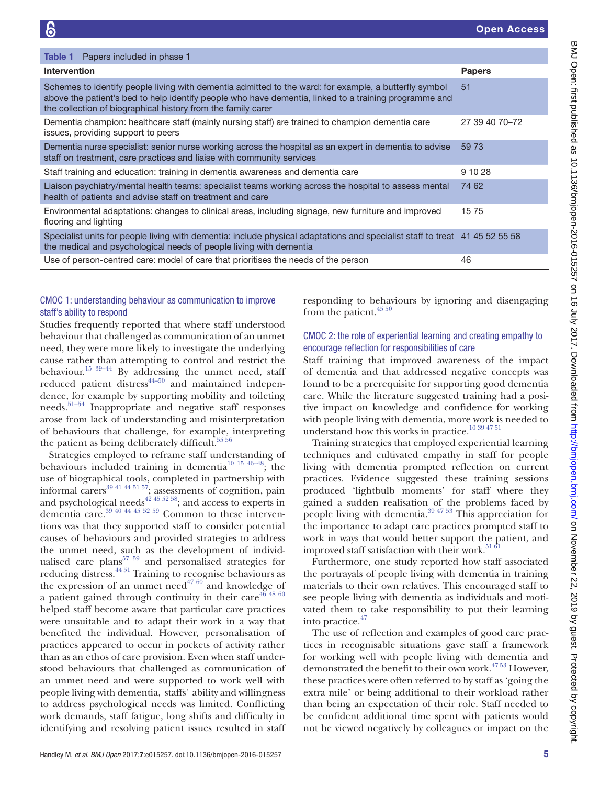<span id="page-4-0"></span>

| <b>Table 1</b> Papers included in phase 1                                                                                                                                                                                                                                      |                  |
|--------------------------------------------------------------------------------------------------------------------------------------------------------------------------------------------------------------------------------------------------------------------------------|------------------|
| <b>Intervention</b>                                                                                                                                                                                                                                                            | <b>Papers</b>    |
| Schemes to identify people living with dementia admitted to the ward: for example, a butterfly symbol<br>above the patient's bed to help identify people who have dementia, linked to a training programme and<br>the collection of biographical history from the family carer | 51               |
| Dementia champion: healthcare staff (mainly nursing staff) are trained to champion dementia care<br>issues, providing support to peers                                                                                                                                         | 27 39 40 70 - 72 |
| Dementia nurse specialist: senior nurse working across the hospital as an expert in dementia to advise<br>staff on treatment, care practices and liaise with community services                                                                                                | 59 73            |
| Staff training and education: training in dementia awareness and dementia care                                                                                                                                                                                                 | 9 10 28          |
| Liaison psychiatry/mental health teams: specialist teams working across the hospital to assess mental<br>health of patients and advise staff on treatment and care                                                                                                             | 74 62            |
| Environmental adaptations: changes to clinical areas, including signage, new furniture and improved<br>flooring and lighting                                                                                                                                                   | 1575             |
| Specialist units for people living with dementia: include physical adaptations and specialist staff to treat 41 45 52 55 58<br>the medical and psychological needs of people living with dementia                                                                              |                  |
| Use of person-centred care: model of care that prioritises the needs of the person                                                                                                                                                                                             | 46               |

#### CMOC 1: understanding behaviour as communication to improve staff's ability to respond

Studies frequently reported that where staff understood behaviour that challenged as communication of an unmet need, they were more likely to investigate the underlying cause rather than attempting to control and restrict the behaviour.<sup>15 39–44</sup> By addressing the unmet need, staff reduced patient distress $44-50$  and maintained independence, for example by supporting mobility and toileting needs.[51–54](#page-11-26) Inappropriate and negative staff responses arose from lack of understanding and misinterpretation of behaviours that challenge, for example, interpreting the patient as being deliberately difficult.<sup>55 56</sup>

Strategies employed to reframe staff understanding of behaviours included training in dementia<sup>10 15</sup>  $46-48$ ; the use of biographical tools, completed in partnership with informal carers<sup>[39 41 44 51 57](#page-11-31)</sup>; assessments of cognition, pain and psychological needs $^{42\,45\,52\,58};$  and access to experts in dementia care. $^{39}$   $^{40}$   $^{44}$   $^{45}$   $^{52}$   $^{59}$  Common to these interventions was that they supported staff to consider potential causes of behaviours and provided strategies to address the unmet need, such as the development of individ-ualised care plans<sup>[57 59](#page-12-6)</sup> and personalised strategies for reducing distress.<sup>4451</sup> Training to recognise behaviours as the expression of an unmet need<sup> $47,60$ </sup> and knowledge of a patient gained through continuity in their care  $46\frac{48\frac{60}{6}}{20}$ helped staff become aware that particular care practices were unsuitable and to adapt their work in a way that benefited the individual. However, personalisation of practices appeared to occur in pockets of activity rather than as an ethos of care provision. Even when staff understood behaviours that challenged as communication of an unmet need and were supported to work well with people living with dementia, staffs' ability and willingness to address psychological needs was limited. Conflicting work demands, staff fatigue, long shifts and difficulty in identifying and resolving patient issues resulted in staff responding to behaviours by ignoring and disengaging from the patient.<sup>45 50</sup>

#### CMOC 2: the role of experiential learning and creating empathy to encourage reflection for responsibilities of care

Staff training that improved awareness of the impact of dementia and that addressed negative concepts was found to be a prerequisite for supporting good dementia care. While the literature suggested training had a positive impact on knowledge and confidence for working with people living with dementia, more work is needed to understand how this works in practice.<sup>10 39 47 51</sup>

Training strategies that employed experiential learning techniques and cultivated empathy in staff for people living with dementia prompted reflection on current practices. Evidence suggested these training sessions produced 'lightbulb moments' for staff where they gained a sudden realisation of the problems faced by people living with dementia.<sup>39 47 53</sup> This appreciation for the importance to adapt care practices prompted staff to work in ways that would better support the patient, and improved staff satisfaction with their work.<sup>[51 61](#page-11-26)</sup>

Furthermore, one study reported how staff associated the portrayals of people living with dementia in training materials to their own relatives. This encouraged staff to see people living with dementia as individuals and motivated them to take responsibility to put their learning into practice[.47](#page-11-33)

The use of reflection and examples of good care practices in recognisable situations gave staff a framework for working well with people living with dementia and demonstrated the benefit to their own work.<sup>4753</sup> However, these practices were often referred to by staff as 'going the extra mile' or being additional to their workload rather than being an expectation of their role. Staff needed to be confident additional time spent with patients would not be viewed negatively by colleagues or impact on the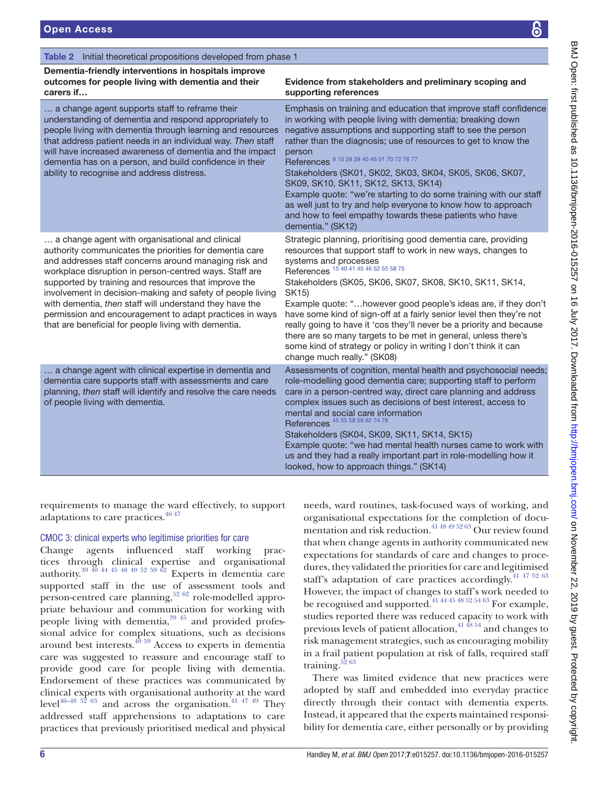#### <span id="page-5-0"></span>Table 2 Initial theoretical propositions developed from phase 1

Dementia-friendly interventions in hospitals improve outcomes for people living with dementia and their carers if…

… a change agent supports staff to reframe their understanding of dementia and respond appropriately to people living with dementia through learning and resources that address patient needs in an individual way. *Then* staff will have increased awareness of dementia and the impact dementia has on a person, and build confidence in their ability to recognise and address distress.

… a change agent with organisational and clinical authority communicates the priorities for dementia care and addresses staff concerns around managing risk and workplace disruption in person-centred ways. Staff are supported by training and resources that improve the involvement in decision-making and safety of people living with dementia, *then* staff will understand they have the permission and encouragement to adapt practices in ways that are beneficial for people living with dementia.

… a change agent with clinical expertise in dementia and dementia care supports staff with assessments and care planning, *then* staff will identify and resolve the care needs of people living with dementia.

Strategic planning, prioritising good dementia care, providing resources that support staff to work in new ways, changes to systems and processes References<sup>15</sup> 40 41 45 46 52 55 58 75 Stakeholders (SK05, SK06, SK07, SK08, SK10, SK11, SK14, SK15) Example quote: "…however good people's ideas are, if they don't have some kind of sign-off at a fairly senior level then they're not really going to have it 'cos they'll never be a priority and because there are so many targets to be met in general, unless there's

some kind of strategy or policy in writing I don't think it can

Evidence from stakeholders and preliminary scoping and

Stakeholders (SK01, SK02, SK03, SK04, SK05, SK06, SK07,

Example quote: "we're starting to do some training with our staff as well just to try and help everyone to know how to approach and how to feel empathy towards these patients who have

Emphasis on training and education that improve staff confidence in working with people living with dementia; breaking down negative assumptions and supporting staff to see the person rather than the diagnosis; use of resources to get to know the

supporting references

dementia." (SK12)

References [9 10 28 39 40 46 51 70 72 76 77](#page-11-6)

SK09, SK10, SK11, SK12, SK13, SK14)

person

change much really." (SK08) Assessments of cognition, mental health and psychosocial needs; role-modelling good dementia care; supporting staff to perform care in a person-centred way, direct care planning and address complex issues such as decisions of best interest, access to mental and social care information References  $45\,55\,58\,59\,62\,74\,78$ Stakeholders (SK04, SK09, SK11, SK14, SK15)

Example quote: "we had mental health nurses came to work with us and they had a really important part in role-modelling how it looked, how to approach things." (SK14)

requirements to manage the ward effectively, to support adaptations to care practices.<sup>46 47</sup>

#### CMOC 3: clinical experts who legitimise priorities for care

Change agents influenced staff working practices through clinical expertise and organisational authority.<sup>39  $\overline{40}$  44 45 48 49 52 59 62 Experts in dementia care</sup> supported staff in the use of assessment tools and person-centred care planning,[52 62](#page-12-7) role-modelled appropriate behaviour and communication for working with people living with dementia, $39/45$  and provided professional advice for complex situations, such as decisions  $\frac{40}{59}$  Access to experts in dementia care was suggested to reassure and encourage staff to provide good care for people living with dementia. Endorsement of these practices was communicated by clinical experts with organisational authority at the ward level<sup>46–48 52</sup> <sup>63</sup> and across the organisation.<sup>[41 47 49](#page-11-27)</sup> They addressed staff apprehensions to adaptations to care practices that previously prioritised medical and physical

needs, ward routines, task-focused ways of working, and organisational expectations for the completion of documentation and risk reduction.<sup>41 48 49 52 63</sup> Our review found that when change agents in authority communicated new expectations for standards of care and changes to procedures, they validated the priorities for care and legitimised staff's adaptation of care practices accordingly.<sup>[41 47 52 63](#page-11-27)</sup> However, the impact of changes to staff's work needed to be recognised and supported.<sup>[41 44 45 48 52 54 63](#page-11-27)</sup> For example, studies reported there was reduced capacity to work with previous levels of patient allocation,  $41\frac{48\,54}{10}$  and changes to risk management strategies, such as encouraging mobility in a frail patient population at risk of falls, required staff training. $52\,63$ 

There was limited evidence that new practices were adopted by staff and embedded into everyday practice directly through their contact with dementia experts. Instead, it appeared that the experts maintained responsibility for dementia care, either personally or by providing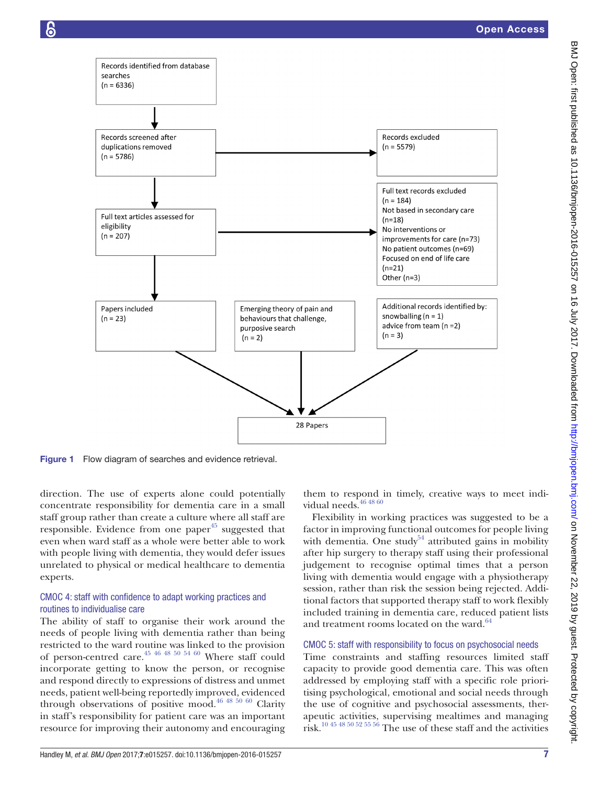

<span id="page-6-0"></span>Figure 1 Flow diagram of searches and evidence retrieval.

searches  $(n = 6336)$ 

 $(n = 5786)$ 

eligibility

 $(n = 207)$ 

Papers included

 $(n = 23)$ 

direction. The use of experts alone could potentially concentrate responsibility for dementia care in a small staff group rather than create a culture where all staff are responsible. Evidence from one paper<sup>[45](#page-11-34)</sup> suggested that even when ward staff as a whole were better able to work with people living with dementia, they would defer issues unrelated to physical or medical healthcare to dementia experts.

#### CMOC 4: staff with confidence to adapt working practices and routines to individualise care

The ability of staff to organise their work around the needs of people living with dementia rather than being restricted to the ward routine was linked to the provision of person-centred care.<sup>45 46 48 50 54 60</sup> Where staff could incorporate getting to know the person, or recognise and respond directly to expressions of distress and unmet needs, patient well-being reportedly improved, evidenced through observations of positive mood.[46 48 50 60](#page-11-28) Clarity in staff's responsibility for patient care was an important resource for improving their autonomy and encouraging

them to respond in timely, creative ways to meet indi-vidual needs.<sup>[46 48 60](#page-11-28)</sup>

Flexibility in working practices was suggested to be a factor in improving functional outcomes for people living with dementia. One study<sup>54</sup> attributed gains in mobility after hip surgery to therapy staff using their professional judgement to recognise optimal times that a person living with dementia would engage with a physiotherapy session, rather than risk the session being rejected. Additional factors that supported therapy staff to work flexibly included training in dementia care, reduced patient lists and treatment rooms located on the ward.<sup>[64](#page-12-9)</sup>

### CMOC 5: staff with responsibility to focus on psychosocial needs

Time constraints and staffing resources limited staff capacity to provide good dementia care. This was often addressed by employing staff with a specific role prioritising psychological, emotional and social needs through the use of cognitive and psychosocial assessments, therapeutic activities, supervising mealtimes and managing risk.<sup>10 45 48 50 52 55 56</sup> The use of these staff and the activities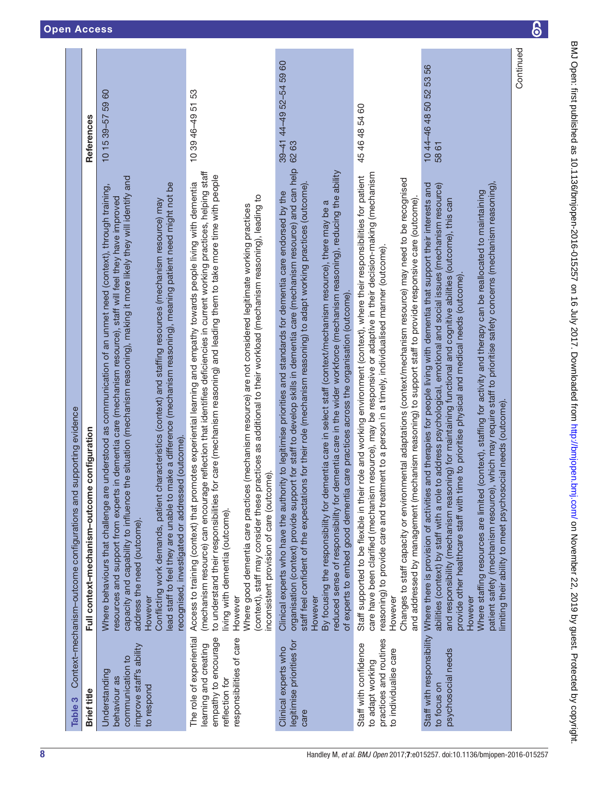<span id="page-7-0"></span>

| Table 3                                                                                                                 | Context-mechanism-outcome configurations and supporting evidence                                                                                                                                                                                                                                                                                                                                                                                                                                                                                                                                                                                                                                                                                                                                                        |                                 |
|-------------------------------------------------------------------------------------------------------------------------|-------------------------------------------------------------------------------------------------------------------------------------------------------------------------------------------------------------------------------------------------------------------------------------------------------------------------------------------------------------------------------------------------------------------------------------------------------------------------------------------------------------------------------------------------------------------------------------------------------------------------------------------------------------------------------------------------------------------------------------------------------------------------------------------------------------------------|---------------------------------|
| <b>Brief title</b>                                                                                                      | configuration<br>Full context-mechanism-outcome                                                                                                                                                                                                                                                                                                                                                                                                                                                                                                                                                                                                                                                                                                                                                                         | References                      |
| improve staff's ability<br>communication to<br>Understanding<br>behaviour as<br>to respond                              | capacity and capability to influence the situation (mechanism reasoning), making it more likely they will identify and<br>lead staff to feel they are unable to make a difference (mechanism reasoning), meaning patient need might not be<br>Where behaviours that challenge are understood as communication of an unmet need (context), through training,<br>in dementia care (mechanism resource), staff will feel they have improved<br>Conflicting work demands, patient characteristics (context) and staffing resources (mechanism resource) may<br>recognised, investigated or addressed (outcome).<br>resources and support from experts<br>address the need (outcome).<br>However                                                                                                                             | 10 15 39-57 59 60               |
| The role of experiential<br>empathy to encourage<br>responsibilities of care<br>learning and creating<br>reflection for | (mechanism resource) can encourage reflection that identifies deficiencies in current working practices, helping staff<br>to understand their responsibilities for care (mechanism reasoning) and leading them to take more time with people<br>Access to training (context) that promotes experiential learning and empathy towards people living with dementia<br>(context), staff may consider these practices as additional to their workload (mechanism reasoning), leading to<br>Where good dementia care practices (mechanism resource) are not considered legitimate working practices<br>inconsistent provision of care (outcome).<br>living with dementia (outcome).<br>However                                                                                                                               | 10 39 46-49 51 53               |
| legitimise priorities for<br>Clinical experts who<br>care                                                               | organisation (context) provide support for staff to develop skills in dementia care (mechanism resource) and can help<br>reduced sense of responsibility for dementia care in the wider workforce (mechanism reasoning), reducing the ability<br>staff feel confident of the expectations for their role (mechanism reasoning) to adapt working practices (outcome)<br>Clinical experts who have the authority to legitimise priorities and standards for dementia care endorsed by the<br>By focusing the responsibility for dementia care in select staff (context/mechanism resource), there may be a<br>care practices across the organisation (outcome).<br>of experts to embed good dementia<br>However                                                                                                           | 39-41 44-49 52-54 59 60<br>6263 |
| practices and routines<br>Staff with confidence<br>to individualise care<br>to adapt working                            | care have been clarified (mechanism resource), may be responsive or adaptive in their decision-making (mechanism<br>role and working environment (context), where their responsibilities for patient<br>Changes to staff capacity or environmental adaptations (context/mechanism resource) may need to be recognised<br>and addressed by management (mechanism reasoning) to support staff to provide responsive care (outcome).<br>reasoning) to provide care and treatment to a person in a timely, individualised manner (outcome)<br>Staff supported to be flexible in their<br>However                                                                                                                                                                                                                            | 45 46 48 54 60                  |
| psychosocial needs<br>to focus on                                                                                       | , which may require staff to prioritise safety concerns (mechanism reasoning),<br>Staff with responsibility Where there is provision of activities and therapies for people living with dementia that support their interests and<br>abilities (context) by staff with a role to address psychological, emotional and social issues (mechanism resource)<br>(context), staffing for activity and therapy can be reallocated to maintaining<br>and responsibility (mechanism reasoning) for maintaining functional and cognitive abilities (outcome), this can<br>provide other healthcare staff with time to prioritise physical and medical needs (outcome)<br>limiting their ability to meet psychosocial needs (outcome).<br>patient safety (mechanism resource),<br>Where staffing resources are limited<br>However | 10 44-46 48 50 52 53 56<br>5861 |
|                                                                                                                         |                                                                                                                                                                                                                                                                                                                                                                                                                                                                                                                                                                                                                                                                                                                                                                                                                         | Continued                       |

 $\overline{6}$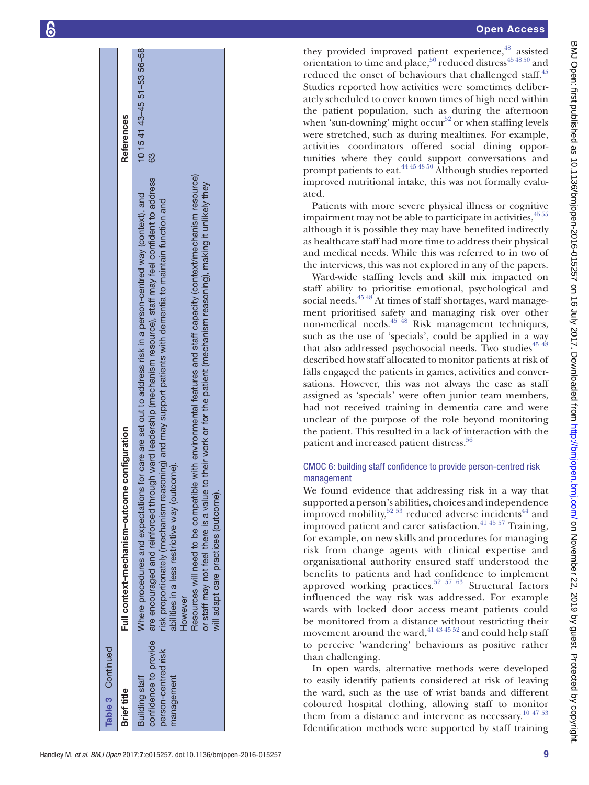| Table 3 Continued                                          |                                                                                                                                                                                                                                                                                                                                                                                                                                                                                                                                                                                                                                                                                 |                                     |
|------------------------------------------------------------|---------------------------------------------------------------------------------------------------------------------------------------------------------------------------------------------------------------------------------------------------------------------------------------------------------------------------------------------------------------------------------------------------------------------------------------------------------------------------------------------------------------------------------------------------------------------------------------------------------------------------------------------------------------------------------|-------------------------------------|
| <b>Brief title</b>                                         | Full context-mechanism-outcome configuration                                                                                                                                                                                                                                                                                                                                                                                                                                                                                                                                                                                                                                    | <b>References</b>                   |
| person-centred risk<br><b>Building staff</b><br>management | Resources will need to be compatible with environmental features and staff capacity (context/mechanism resource)<br>confidence to provide are encouraged and reinforced through ward leadership (mechanism resource), staff may feel confident to address<br>or staff may not feel there is a value to their work or for the patient (mechanism reasoning), making it unlikely they<br>Where procedures and expectations for care are set out to address risk in a person-centred way (context), and<br>risk proportionately (mechanism reasoning) and may support patients with dementia to maintain function and<br>abilities in a less restrictive way (outcome).<br>However | $10154143 - 4551 - 5356 - 58$<br>63 |

they provided improved patient experience,<sup>48</sup> assisted orientation to time and place,  $50$  reduced distress<sup>[45 48 50](#page-11-34)</sup> and reduced the onset of behaviours that challenged staff.<sup>[45](#page-11-34)</sup> Studies reported how activities were sometimes deliberately scheduled to cover known times of high need within the patient population, such as during the afternoon when 'sun-downing' might occur<sup>52</sup> or when staffing levels were stretched, such as during mealtimes. For example, activities coordinators offered social dining opportunities where they could support conversations and prompt patients to eat.[44 45 48 50](#page-11-29) Although studies reported improved nutritional intake, this was not formally evalu ated.

Patients with more severe physical illness or cognitive impairment may not be able to participate in activities,  $4555$ although it is possible they may have benefited indirectly as healthcare staff had more time to address their physical and medical needs. While this was referred to in two of the interviews, this was not explored in any of the papers.

Ward-wide staffing levels and skill mix impacted on staff ability to prioritise emotional, psychological and social needs.<sup>4548</sup>At times of staff shortages, ward management prioritised safety and managing risk over other non-medical needs.[45 48](#page-11-34) Risk management techniques, such as the use of 'specials', could be applied in a way that also addressed psychosocial needs. Two studies $45\frac{48}{18}$ described how staff allocated to monitor patients at risk of falls engaged the patients in games, activities and conversations. However, this was not always the case as staff assigned as 'specials' were often junior team members, had not received training in dementia care and were unclear of the purpose of the role beyond monitoring the patient. This resulted in a lack of interaction with the patient and increased patient distress.<sup>56</sup>

#### CMOC 6: building staff confidence to provide person-centred risk management

We found evidence that addressing risk in a way that supported a person's abilities, choices and independence improved mobility,  $5253$  reduced adverse incidents<sup>44</sup> and improved patient and carer satisfaction.<sup>41 45 57</sup> Training, for example, on new skills and procedures for managing risk from change agents with clinical expertise and organisational authority ensured staff understood the benefits to patients and had confidence to implement approved working practices.[52 57 63](#page-12-7) Structural factors influenced the way risk was addressed. For example wards with locked door access meant patients could be monitored from a distance without restricting their movement around the ward,  $41\frac{43\frac{45}{52}}{2}$  and could help staff to perceive 'wandering' behaviours as positive rather than challenging.

In open wards, alternative methods were developed to easily identify patients considered at risk of leaving the ward, such as the use of wrist bands and different coloured hospital clothing, allowing staff to monitor them from a distance and intervene as necessary.<sup>[10 47 53](#page-11-30)</sup> Identification methods were supported by staff training

will adapt care practices (outcome).

adapt care practices (outcome)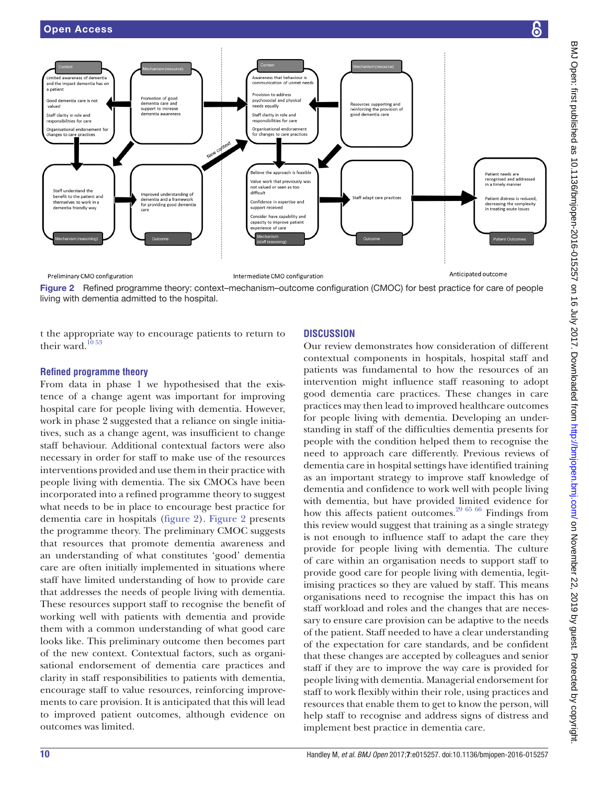

<span id="page-9-0"></span>Figure 2 Refined programme theory: context–mechanism–outcome configuration (CMOC) for best practice for care of people living with dementia admitted to the hospital.

t the appropriate way to encourage patients to return to their ward.<sup>10</sup> 53

#### **Refined programme theory**

From data in phase 1 we hypothesised that the existence of a change agent was important for improving hospital care for people living with dementia. However, work in phase 2 suggested that a reliance on single initiatives, such as a change agent, was insufficient to change staff behaviour. Additional contextual factors were also necessary in order for staff to make use of the resources interventions provided and use them in their practice with people living with dementia. The six CMOCs have been incorporated into a refined programme theory to suggest what needs to be in place to encourage best practice for dementia care in hospitals [\(figure](#page-9-0) 2). [Figure](#page-9-0) 2 presents the programme theory. The preliminary CMOC suggests that resources that promote dementia awareness and an understanding of what constitutes 'good' dementia care are often initially implemented in situations where staff have limited understanding of how to provide care that addresses the needs of people living with dementia. These resources support staff to recognise the benefit of working well with patients with dementia and provide them with a common understanding of what good care looks like. This preliminary outcome then becomes part of the new context. Contextual factors, such as organisational endorsement of dementia care practices and clarity in staff responsibilities to patients with dementia, encourage staff to value resources, reinforcing improvements to care provision. It is anticipated that this will lead to improved patient outcomes, although evidence on outcomes was limited.

#### **Discussion**

Our review demonstrates how consideration of different contextual components in hospitals, hospital staff and patients was fundamental to how the resources of an intervention might influence staff reasoning to adopt good dementia care practices. These changes in care practices may then lead to improved healthcare outcomes for people living with dementia. Developing an understanding in staff of the difficulties dementia presents for people with the condition helped them to recognise the need to approach care differently. Previous reviews of dementia care in hospital settings have identified training as an important strategy to improve staff knowledge of dementia and confidence to work well with people living with dementia, but have provided limited evidence for how this affects patient outcomes.<sup>[29 65 66](#page-11-38)</sup> Findings from this review would suggest that training as a single strategy is not enough to influence staff to adapt the care they provide for people living with dementia. The culture of care within an organisation needs to support staff to provide good care for people living with dementia, legitimising practices so they are valued by staff. This means organisations need to recognise the impact this has on staff workload and roles and the changes that are necessary to ensure care provision can be adaptive to the needs of the patient. Staff needed to have a clear understanding of the expectation for care standards, and be confident that these changes are accepted by colleagues and senior staff if they are to improve the way care is provided for people living with dementia. Managerial endorsement for staff to work flexibly within their role, using practices and resources that enable them to get to know the person, will help staff to recognise and address signs of distress and implement best practice in dementia care.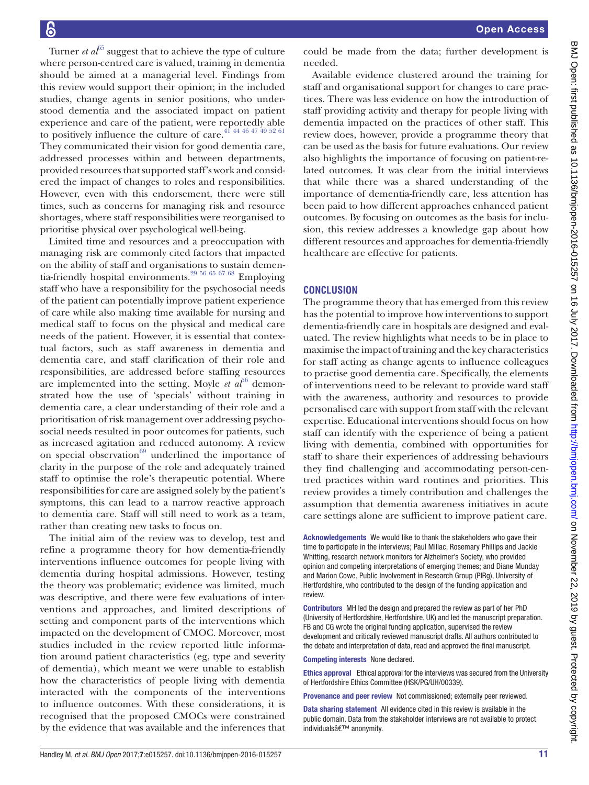Turner *et al*<sup> $65$ </sup> suggest that to achieve the type of culture where person-centred care is valued, training in dementia should be aimed at a managerial level. Findings from this review would support their opinion; in the included studies, change agents in senior positions, who understood dementia and the associated impact on patient experience and care of the patient, were reportedly able to positively influence the culture of care.<sup>41</sup> <sup>44 46 47</sup> <sup>49 52 61</sup> They communicated their vision for good dementia care, addressed processes within and between departments, provided resources that supported staff's work and considered the impact of changes to roles and responsibilities. However, even with this endorsement, there were still times, such as concerns for managing risk and resource shortages, where staff responsibilities were reorganised to prioritise physical over psychological well-being.

Limited time and resources and a preoccupation with managing risk are commonly cited factors that impacted on the ability of staff and organisations to sustain dementia-friendly hospital environments.[29 56 65 67 68](#page-11-38) Employing staff who have a responsibility for the psychosocial needs of the patient can potentially improve patient experience of care while also making time available for nursing and medical staff to focus on the physical and medical care needs of the patient. However, it is essential that contextual factors, such as staff awareness in dementia and dementia care, and staff clarification of their role and responsibilities, are addressed before staffing resources are implemented into the setting. Moyle  $et\ a\bar{t}^{6}$  demonstrated how the use of 'specials' without training in dementia care, a clear understanding of their role and a prioritisation of risk management over addressing psychosocial needs resulted in poor outcomes for patients, such as increased agitation and reduced autonomy. A review on special observation $69$  underlined the importance of clarity in the purpose of the role and adequately trained staff to optimise the role's therapeutic potential. Where responsibilities for care are assigned solely by the patient's symptoms, this can lead to a narrow reactive approach to dementia care. Staff will still need to work as a team, rather than creating new tasks to focus on.

The initial aim of the review was to develop, test and refine a programme theory for how dementia-friendly interventions influence outcomes for people living with dementia during hospital admissions. However, testing the theory was problematic; evidence was limited, much was descriptive, and there were few evaluations of interventions and approaches, and limited descriptions of setting and component parts of the interventions which impacted on the development of CMOC. Moreover, most studies included in the review reported little information around patient characteristics (eg, type and severity of dementia), which meant we were unable to establish how the characteristics of people living with dementia interacted with the components of the interventions to influence outcomes. With these considerations, it is recognised that the proposed CMOCs were constrained by the evidence that was available and the inferences that

could be made from the data; further development is needed.

Available evidence clustered around the training for staff and organisational support for changes to care practices. There was less evidence on how the introduction of staff providing activity and therapy for people living with dementia impacted on the practices of other staff. This review does, however, provide a programme theory that can be used as the basis for future evaluations. Our review also highlights the importance of focusing on patient-related outcomes. It was clear from the initial interviews that while there was a shared understanding of the importance of dementia-friendly care, less attention has been paid to how different approaches enhanced patient outcomes. By focusing on outcomes as the basis for inclusion, this review addresses a knowledge gap about how different resources and approaches for dementia-friendly healthcare are effective for patients.

#### **Conclusion**

The programme theory that has emerged from this review has the potential to improve how interventions to support dementia-friendly care in hospitals are designed and evaluated. The review highlights what needs to be in place to maximise the impact of training and the key characteristics for staff acting as change agents to influence colleagues to practise good dementia care. Specifically, the elements of interventions need to be relevant to provide ward staff with the awareness, authority and resources to provide personalised care with support from staff with the relevant expertise. Educational interventions should focus on how staff can identify with the experience of being a patient living with dementia, combined with opportunities for staff to share their experiences of addressing behaviours they find challenging and accommodating person-centred practices within ward routines and priorities. This review provides a timely contribution and challenges the assumption that dementia awareness initiatives in acute care settings alone are sufficient to improve patient care.

Acknowledgements We would like to thank the stakeholders who gave their time to participate in the interviews; Paul Millac, Rosemary Phillips and Jackie Whitting, research network monitors for Alzheimer's Society, who provided opinion and competing interpretations of emerging themes; and Diane Munday and Marion Cowe, Public Involvement in Research Group (PIRg), University of Hertfordshire, who contributed to the design of the funding application and review.

Contributors MH led the design and prepared the review as part of her PhD (University of Hertfordshire, Hertfordshire, UK) and led the manuscript preparation. FB and CG wrote the original funding application, supervised the review development and critically reviewed manuscript drafts. All authors contributed to the debate and interpretation of data, read and approved the final manuscript.

Competing interests None declared.

Ethics approval Ethical approval for the interviews was secured from the University of Hertfordshire Ethics Committee (HSK/PG/UH/00339).

Provenance and peer review Not commissioned; externally peer reviewed.

Data sharing statement All evidence cited in this review is available in the public domain. Data from the stakeholder interviews are not available to protect individuals' anonymity.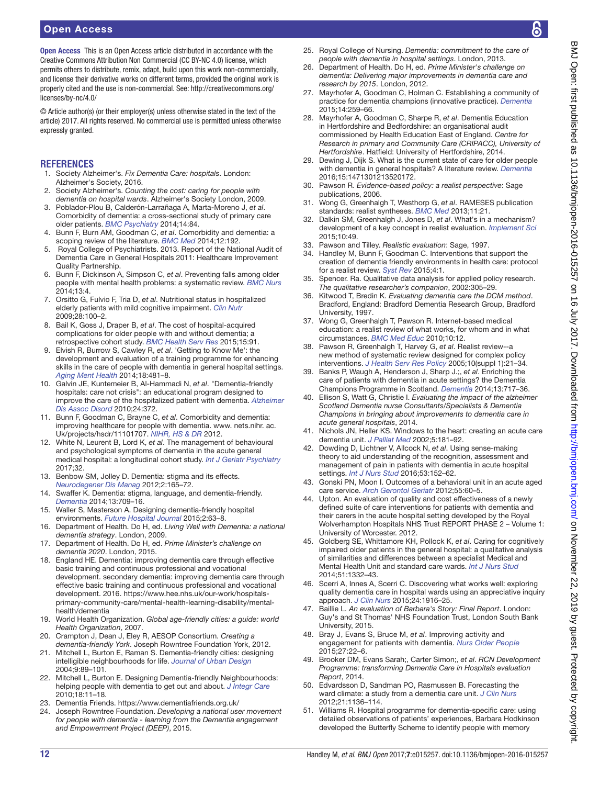Open Access This is an Open Access article distributed in accordance with the Creative Commons Attribution Non Commercial (CC BY-NC 4.0) license, which permits others to distribute, remix, adapt, build upon this work non-commercially, and license their derivative works on different terms, provided the original work is properly cited and the use is non-commercial. See: [http://creativecommons.org/](http://creativecommons.org/licenses/by-nc/4.0/) [licenses/by-nc/4.0/](http://creativecommons.org/licenses/by-nc/4.0/)

© Article author(s) (or their employer(s) unless otherwise stated in the text of the article) 2017. All rights reserved. No commercial use is permitted unless otherwise expressly granted.

#### **References**

- <span id="page-11-0"></span>1. Society Alzheimer's. *Fix Dementia Care: hospitals*. London: Alzheimer's Society, 2016.
- <span id="page-11-1"></span>2. Society Alzheimer's. *Counting the cost: caring for people with dementia on hospital wards*. Alzheimer's Society London, 2009.
- <span id="page-11-2"></span>3. Poblador-Plou B, Calderón-Larrañaga A, Marta-Moreno J, *et al*. Comorbidity of dementia: a cross-sectional study of primary care older patients. *[BMC Psychiatry](http://dx.doi.org/10.1186/1471-244X-14-84)* 2014;14:84.
- 4. Bunn F, Burn AM, Goodman C, *et al*. Comorbidity and dementia: a scoping review of the literature. *[BMC Med](http://dx.doi.org/10.1186/s12916-014-0192-4)* 2014;12:192.
- <span id="page-11-3"></span>5. Royal College of Psychiatrists. 2013. Report of the National Audit of Dementia Care in General Hospitals 2011: Healthcare Improvement Quality Partnership.
- <span id="page-11-4"></span>6. Bunn F, Dickinson A, Simpson C, *et al*. Preventing falls among older people with mental health problems: a systematic review. *[BMC Nurs](http://dx.doi.org/10.1186/1472-6955-13-4)* 2014;13:4.
- 7. Orsitto G, Fulvio F, Tria D, *et al*. Nutritional status in hospitalized elderly patients with mild cognitive impairment. *[Clin Nutr](http://dx.doi.org/10.1016/j.clnu.2008.12.001)* 2009;28:100–2.
- 8. Bail K, Goss J, Draper B, *et al*. The cost of hospital-acquired complications for older people with and without dementia; a retrospective cohort study. *[BMC Health Serv Res](http://dx.doi.org/10.1186/s12913-015-0743-1)* 2015;15:91.
- <span id="page-11-6"></span>9. Elvish R, Burrow S, Cawley R, *et al*. 'Getting to Know Me': the development and evaluation of a training programme for enhancing skills in the care of people with dementia in general hospital settings. *[Aging Ment Health](http://dx.doi.org/10.1080/13607863.2013.856860)* 2014;18:481–8.
- <span id="page-11-30"></span>10. Galvin JE, Kuntemeier B, Al-Hammadi N, *et al*. "Dementia-friendly hospitals: care not crisis": an educational program designed to improve the care of the hospitalized patient with dementia. *[Alzheimer](http://dx.doi.org/10.1097/WAD.0b013e3181e9f829)  [Dis Assoc Disord](http://dx.doi.org/10.1097/WAD.0b013e3181e9f829)* 2010;24:372.
- <span id="page-11-7"></span>11. Bunn F, Goodman C, Brayne C, *et al*. Comorbidity and dementia: improving healthcare for people with dementia. www. nets.nihr. ac. Uk/projects/hsdr/11101707. *NIHR, HS & DR* 2012.
- <span id="page-11-8"></span>12. White N, Leurent B, Lord K, *et al*. The management of behavioural and psychological symptoms of dementia in the acute general medical hospital: a longitudinal cohort study. *[Int J Geriatr Psychiatry](http://dx.doi.org/10.1002/gps.4463)* 2017;32.
- <span id="page-11-9"></span>13. Benbow SM, Jolley D. Dementia: stigma and its effects. *[Neurodegener Dis Manag](http://dx.doi.org/10.2217/nmt.12.7)* 2012;2:165–72.
- 14. Swaffer K. Dementia: stigma, language, and dementia-friendly. *[Dementia](http://dx.doi.org/10.1177/1471301214548143)* 2014;13:709–16.
- <span id="page-11-10"></span>15. Waller S, Masterson A. Designing dementia-friendly hospital environments. *Future Hospital Journal* 2015;2:63–8.
- <span id="page-11-11"></span>16. Department of Health. Do H, ed. *Living Well with Dementia: a national dementia strategy*. London, 2009.
- <span id="page-11-12"></span>17. Department of Health. Do H, ed. *Prime Minister's challenge on dementia 2020*. London, 2015.
- 18. England HE. Dementia: improving dementia care through effective basic training and continuous professional and vocational development. secondary dementia: improving dementia care through effective basic training and continuous professional and vocational development. 2016. [https://www.hee.nhs.uk/our-work/hospitals](https://www.hee.nhs.uk/our-work/hospitals-primary-community-care/mental-health-learning-disability/mental-health/dementia)[primary-community-care/mental-health-learning-disability/mental](https://www.hee.nhs.uk/our-work/hospitals-primary-community-care/mental-health-learning-disability/mental-health/dementia)[health/dementia](https://www.hee.nhs.uk/our-work/hospitals-primary-community-care/mental-health-learning-disability/mental-health/dementia)
- <span id="page-11-13"></span>19. World Health Organization. *Global age-friendly cities: a guide: world Health Organization*, 2007.
- <span id="page-11-14"></span>20. Crampton J, Dean J, Eley R, AESOP Consortium. *Creating a dementia-friendly York*. Joseph Rowntree Foundation York, 2012.
- 21. Mitchell L, Burton E, Raman S. Dementia‐friendly cities: designing intelligible neighbourhoods for life. *[Journal of Urban Design](http://dx.doi.org/10.1080/1357480042000187721)* 2004;9:89–101.
- <span id="page-11-15"></span>22. Mitchell L, Burton E. Designing Dementia-friendly Neighbourhoods: helping people with dementia to get out and about. *[J Integr Care](http://dx.doi.org/10.5042/jic.2010.0647)* 2010;18:11–18.
- <span id="page-11-16"></span>23. Dementia Friends. <https://www.dementiafriends.org.uk/>
- <span id="page-11-17"></span>24. Joseph Rowntree Foundation. *Developing a national user movement for people with dementia - learning from the Dementia engagement and Empowerment Project (DEEP)*, 2015.
- 25. Royal College of Nursing. *Dementia: commitment to the care of people with dementia in hospital settings*. London, 2013.
- 26. Department of Health. Do H, ed. *Prime Minister's challenge on dementia: Delivering major improvements in dementia care and research by 2015*. London, 2012.
- <span id="page-11-18"></span>27. Mayrhofer A, Goodman C, Holman C. Establishing a community of practice for dementia champions (innovative practice). *[Dementia](http://dx.doi.org/10.1177/1471301214542534)* 2015;14:259–66.
- 28. Mayrhofer A, Goodman C, Sharpe R, *et al*. Dementia Education in Hertfordshire and Bedfordshire: an organisational audit commissioned by Health Education East of England. *Centre for Research in primary and Community Care (CRIPACC), University of Hertfordshire*. Hatfield: University of Hertfordshire, 2014.
- <span id="page-11-38"></span>29. Dewing J, Dijk S. What is the current state of care for older people with dementia in general hospitals? A literature review. *[Dementia](http://dx.doi.org/10.1177/1471301213520172)* 2016;15:1471301213520172.
- <span id="page-11-19"></span>30. Pawson R. *Evidence-based policy: a realist perspective*: Sage publications, 2006.
- <span id="page-11-25"></span>31. Wong G, Greenhalgh T, Westhorp G, *et al*. RAMESES publication standards: realist syntheses. *[BMC Med](http://dx.doi.org/10.1186/1741-7015-11-21)* 2013;11:21.
- <span id="page-11-5"></span>32. Dalkin SM, Greenhalgh J, Jones D, *et al*. What's in a mechanism? development of a key concept in realist evaluation. *[Implement Sci](http://dx.doi.org/10.1186/s13012-015-0237-x)* 2015;10:49.
- <span id="page-11-20"></span>33. Pawson and Tilley. *Realistic evaluation*: Sage, 1997.
- <span id="page-11-21"></span>34. Handley M, Bunn F, Goodman C. Interventions that support the creation of dementia friendly environments in health care: protocol for a realist review. *[Syst Rev](http://dx.doi.org/10.1186/s13643-015-0168-2)* 2015;4:1.
- <span id="page-11-22"></span>35. Spencer. Ra. Qualitative data analysis for applied policy research. *The qualitative researcher's companion*, 2002:305–29.
- <span id="page-11-23"></span>36. Kitwood T, Bredin K. *Evaluating dementia care the DCM method*. Bradford, England: Bradford Dementia Research Group, Bradford University, 1997.
- <span id="page-11-24"></span>37. Wong G, Greenhalgh T, Pawson R. Internet-based medical education: a realist review of what works, for whom and in what circumstances. *[BMC Med Educ](http://dx.doi.org/10.1186/1472-6920-10-12)* 2010;10:12.
- 38. Pawson R, Greenhalgh T, Harvey G, *et al*. Realist review--a new method of systematic review designed for complex policy interventions. *[J Health Serv Res Policy](http://dx.doi.org/10.1258/1355819054308530)* 2005;10(suppl 1):21–34.
- <span id="page-11-31"></span>39. Banks P, Waugh A, Henderson J, Sharp J.;, *et al*. Enriching the care of patients with dementia in acute settings? the Dementia Champions Programme in Scotland. *[Dementia](http://dx.doi.org/10.1177/1471301213485084)* 2014;13:717–36.
- <span id="page-11-35"></span>40. Ellison S, Watt G, Christie I. *Evaluating the impact of the alzheimer Scotland Dementia nurse Consultants/Specialists & Dementia Champions in bringing about improvements to dementia care in acute general hospitals*, 2014.
- <span id="page-11-27"></span>41. Nichols JN, Heller KS. Windows to the heart: creating an acute care dementia unit. *[J Palliat Med](http://dx.doi.org/10.1089/10966210252785187)* 2002;5:181–92.
- <span id="page-11-32"></span>42. Dowding D, Lichtner V, Allcock N, *et al*. Using sense-making theory to aid understanding of the recognition, assessment and management of pain in patients with dementia in acute hospital settings. *[Int J Nurs Stud](http://dx.doi.org/10.1016/j.ijnurstu.2015.08.009)* 2016;53:152–62.
- 43. Gonski PN, Moon I. Outcomes of a behavioral unit in an acute aged care service. *[Arch Gerontol Geriatr](http://dx.doi.org/10.1016/j.archger.2011.06.013)* 2012;55:60–5.
- <span id="page-11-29"></span>44. Upton. An evaluation of quality and cost effectiveness of a newly defined suite of care interventions for patients with dementia and their carers in the acute hospital setting developed by the Royal Wolverhampton Hospitals NHS Trust REPORT PHASE 2 – Volume 1: University of Worcester. 2012.
- <span id="page-11-34"></span>45. Goldberg SE, Whittamore KH, Pollock K, *et al*. Caring for cognitively impaired older patients in the general hospital: a qualitative analysis of similarities and differences between a specialist Medical and Mental Health Unit and standard care wards. *[Int J Nurs Stud](http://dx.doi.org/10.1016/j.ijnurstu.2014.02.002)* 2014;51:1332–43.
- <span id="page-11-28"></span>46. Scerri A, Innes A, Scerri C. Discovering what works well: exploring quality dementia care in hospital wards using an appreciative inquiry approach. *[J Clin Nurs](http://dx.doi.org/10.1111/jocn.12822)* 2015;24:1916–25.
- <span id="page-11-33"></span>47. Baillie L. *An evaluation of Barbara's Story: Final Report*. London: Guy's and St Thomas' NHS Foundation Trust, London South Bank University, 2015.
- <span id="page-11-36"></span>48. Bray J, Evans S, Bruce M, *et al*. Improving activity and engagement for patients with dementia. *[Nurs Older People](http://dx.doi.org/10.7748/nop.27.8.22.e700)* 2015;27:22–6.
- 49. Brooker DM, Evans Sarah;, Carter Simon;, *et al*. *RCN Development Programme: transforming Dementia Care in Hospitals evaluation Report*, 2014.
- <span id="page-11-37"></span>50. Edvardsson D, Sandman PO, Rasmussen B. Forecasting the ward climate: a study from a dementia care unit. *[J Clin Nurs](http://dx.doi.org/10.1111/j.1365-2702.2011.03720.x)* 2012;21:1136–114.
- <span id="page-11-26"></span>51. Williams R. Hospital programme for dementia-specific care: using detailed observations of patients' experiences, Barbara Hodkinson developed the Butterfly Scheme to identify people with memory